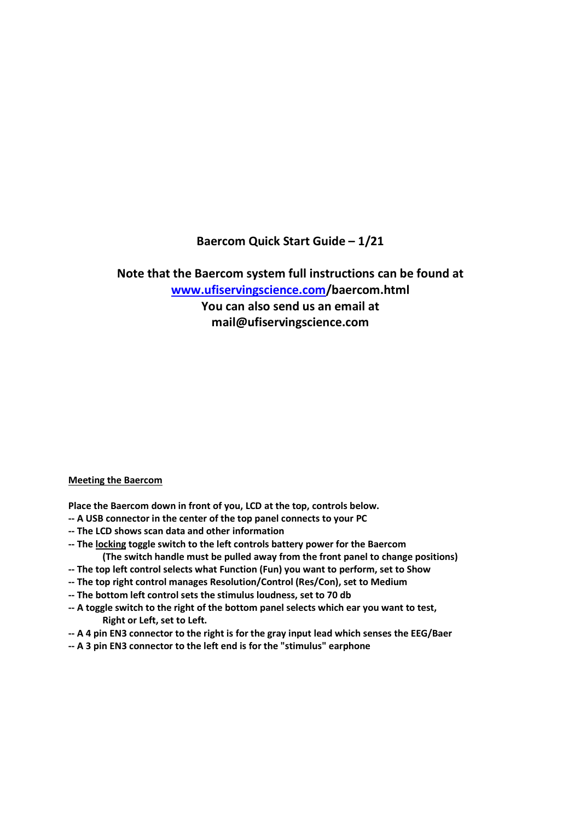# **Baercom Quick Start Guide – 1/21**

**Note that the Baercom system full instructions can be found at www.ufiservingscience.com/baercom.html You can also send us an email at** 

**mail@ufiservingscience.com** 

## **Meeting the Baercom**

**Place the Baercom down in front of you, LCD at the top, controls below.** 

- **-- A USB connector in the center of the top panel connects to your PC**
- **-- The LCD shows scan data and other information**
- **-- The locking toggle switch to the left controls battery power for the Baercom (The switch handle must be pulled away from the front panel to change positions)**
- **-- The top left control selects what Function (Fun) you want to perform, set to Show**
- **-- The top right control manages Resolution/Control (Res/Con), set to Medium**
- **-- The bottom left control sets the stimulus loudness, set to 70 db**
- **-- A toggle switch to the right of the bottom panel selects which ear you want to test, Right or Left, set to Left.**
- **-- A 4 pin EN3 connector to the right is for the gray input lead which senses the EEG/Baer**
- **-- A 3 pin EN3 connector to the left end is for the "stimulus" earphone**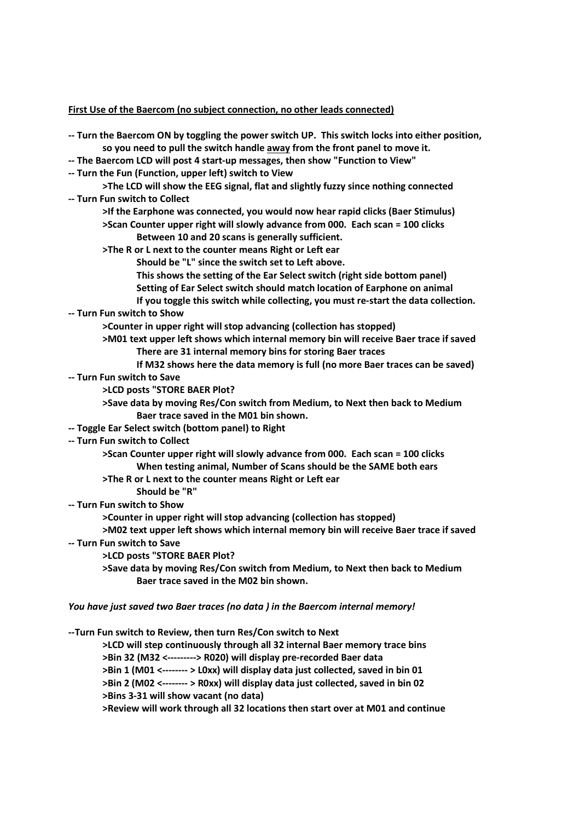**First Use of the Baercom (no subject connection, no other leads connected)** 

- **-- Turn the Baercom ON by toggling the power switch UP. This switch locks into either position, so you need to pull the switch handle away from the front panel to move it.**
- **-- The Baercom LCD will post 4 start-up messages, then show "Function to View"**
- **-- Turn the Fun (Function, upper left) switch to View**
- **>The LCD will show the EEG signal, flat and slightly fuzzy since nothing connected -- Turn Fun switch to Collect** 
	- **>If the Earphone was connected, you would now hear rapid clicks (Baer Stimulus)**
	- **>Scan Counter upper right will slowly advance from 000. Each scan = 100 clicks Between 10 and 20 scans is generally sufficient.**
	- **>The R or L next to the counter means Right or Left ear** 
		- **Should be "L" since the switch set to Left above.**
		- **This shows the setting of the Ear Select switch (right side bottom panel)**
		- **Setting of Ear Select switch should match location of Earphone on animal**

 **If you toggle this switch while collecting, you must re-start the data collection. -- Turn Fun switch to Show** 

 **>Counter in upper right will stop advancing (collection has stopped)** 

 **>M01 text upper left shows which internal memory bin will receive Baer trace if saved There are 31 internal memory bins for storing Baer traces** 

- **If M32 shows here the data memory is full (no more Baer traces can be saved)**
- **-- Turn Fun switch to Save** 
	- **>LCD posts "STORE BAER Plot?**
	- **>Save data by moving Res/Con switch from Medium, to Next then back to Medium Baer trace saved in the M01 bin shown.**
- **-- Toggle Ear Select switch (bottom panel) to Right**
- **-- Turn Fun switch to Collect**

 **>Scan Counter upper right will slowly advance from 000. Each scan = 100 clicks When testing animal, Number of Scans should be the SAME both ears** 

- **>The R or L next to the counter means Right or Left ear**
- **Should be "R"**
- **-- Turn Fun switch to Show**

 **>Counter in upper right will stop advancing (collection has stopped)** 

 **>M02 text upper left shows which internal memory bin will receive Baer trace if saved -- Turn Fun switch to Save** 

- **>LCD posts "STORE BAER Plot?**
- **>Save data by moving Res/Con switch from Medium, to Next then back to Medium Baer trace saved in the M02 bin shown.**

#### *You have just saved two Baer traces (no data ) in the Baercom internal memory!*

**--Turn Fun switch to Review, then turn Res/Con switch to Next** 

 **>LCD will step continuously through all 32 internal Baer memory trace bins >Bin 32 (M32 <---------> R020) will display pre-recorded Baer data >Bin 1 (M01 <-------- > L0xx) will display data just collected, saved in bin 01** 

 **>Bin 2 (M02 <-------- > R0xx) will display data just collected, saved in bin 02** 

 **>Bins 3-31 will show vacant (no data)** 

 **>Review will work through all 32 locations then start over at M01 and continue**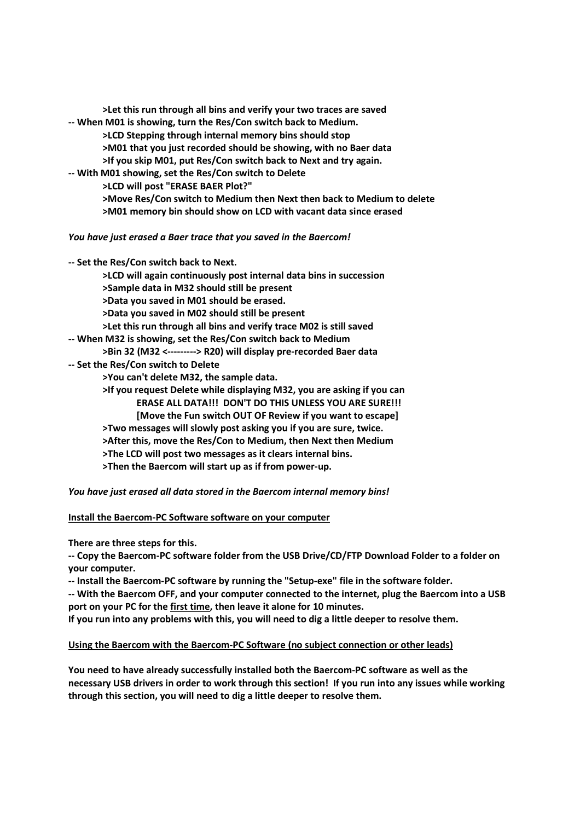| >Let this run through all bins and verify your two traces are saved<br>-- When M01 is showing, turn the Res/Con switch back to Medium. |
|----------------------------------------------------------------------------------------------------------------------------------------|
| >LCD Stepping through internal memory bins should stop                                                                                 |
| >M01 that you just recorded should be showing, with no Baer data                                                                       |
| >If you skip M01, put Res/Con switch back to Next and try again.                                                                       |
| -- With M01 showing, set the Res/Con switch to Delete                                                                                  |
| >LCD will post "ERASE BAER Plot?"                                                                                                      |
| >Move Res/Con switch to Medium then Next then back to Medium to delete                                                                 |
| >M01 memory bin should show on LCD with vacant data since erased                                                                       |
| You have just erased a Baer trace that you saved in the Baercom!                                                                       |
| -- Set the Res/Con switch back to Next.                                                                                                |
| >LCD will again continuously post internal data bins in succession                                                                     |
| >Sample data in M32 should still be present                                                                                            |
| >Data you saved in M01 should be erased.                                                                                               |
| >Data you saved in M02 should still be present                                                                                         |
| >Let this run through all bins and verify trace M02 is still saved                                                                     |
| -- When M32 is showing, set the Res/Con switch back to Medium                                                                          |
| >Bin 32 (M32 <---------> R20) will display pre-recorded Baer data                                                                      |
| -- Set the Res/Con switch to Delete                                                                                                    |

 **>You can't delete M32, the sample data.** 

 **>If you request Delete while displaying M32, you are asking if you can ERASE ALL DATA!!! DON'T DO THIS UNLESS YOU ARE SURE!!! [Move the Fun switch OUT OF Review if you want to escape] >Two messages will slowly post asking you if you are sure, twice. >After this, move the Res/Con to Medium, then Next then Medium >The LCD will post two messages as it clears internal bins. >Then the Baercom will start up as if from power-up.** 

*You have just erased all data stored in the Baercom internal memory bins!* 

**Install the Baercom-PC Software software on your computer** 

**There are three steps for this.** 

**-- Copy the Baercom-PC software folder from the USB Drive/CD/FTP Download Folder to a folder on your computer.** 

**-- Install the Baercom-PC software by running the "Setup-exe" file in the software folder.** 

**-- With the Baercom OFF, and your computer connected to the internet, plug the Baercom into a USB port on your PC for the first time, then leave it alone for 10 minutes.** 

**If you run into any problems with this, you will need to dig a little deeper to resolve them.** 

## **Using the Baercom with the Baercom-PC Software (no subject connection or other leads)**

**You need to have already successfully installed both the Baercom-PC software as well as the necessary USB drivers in order to work through this section! If you run into any issues while working through this section, you will need to dig a little deeper to resolve them.**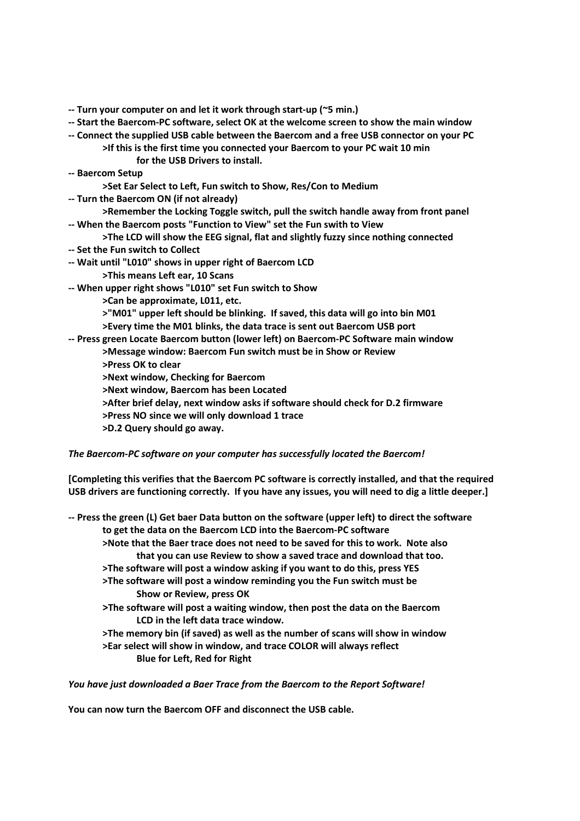- **-- Turn your computer on and let it work through start-up (~5 min.)**
- **-- Start the Baercom-PC software, select OK at the welcome screen to show the main window**
- **-- Connect the supplied USB cable between the Baercom and a free USB connector on your PC >If this is the first time you connected your Baercom to your PC wait 10 min for the USB Drivers to install.**
- **-- Baercom Setup** 
	- **>Set Ear Select to Left, Fun switch to Show, Res/Con to Medium**
- **-- Turn the Baercom ON (if not already)**
- **>Remember the Locking Toggle switch, pull the switch handle away from front panel -- When the Baercom posts "Function to View" set the Fun swith to View**
- **>The LCD will show the EEG signal, flat and slightly fuzzy since nothing connected**
- **-- Set the Fun switch to Collect**
- **-- Wait until "L010" shows in upper right of Baercom LCD** 
	- **>This means Left ear, 10 Scans**
- **-- When upper right shows "L010" set Fun switch to Show** 
	- **>Can be approximate, L011, etc.**
	- **>"M01" upper left should be blinking. If saved, this data will go into bin M01**
	- **>Every time the M01 blinks, the data trace is sent out Baercom USB port**
- **-- Press green Locate Baercom button (lower left) on Baercom-PC Software main window** 
	- **>Message window: Baercom Fun switch must be in Show or Review**
	- **>Press OK to clear**
	- **>Next window, Checking for Baercom**
	- **>Next window, Baercom has been Located**
	- **>After brief delay, next window asks if software should check for D.2 firmware**
	- **>Press NO since we will only download 1 trace**
	- **>D.2 Query should go away.**

#### *The Baercom-PC software on your computer has successfully located the Baercom!*

**[Completing this verifies that the Baercom PC software is correctly installed, and that the required USB drivers are functioning correctly. If you have any issues, you will need to dig a little deeper.]**

- **-- Press the green (L) Get baer Data button on the software (upper left) to direct the software to get the data on the Baercom LCD into the Baercom-PC software >Note that the Baer trace does not need to be saved for this to work. Note also that you can use Review to show a saved trace and download that too. >The software will post a window asking if you want to do this, press YES >The software will post a window reminding you the Fun switch must be Show or Review, press OK >The software will post a waiting window, then post the data on the Baercom LCD in the left data trace window.** 
	- **>The memory bin (if saved) as well as the number of scans will show in window >Ear select will show in window, and trace COLOR will always reflect Blue for Left, Red for Right**

*You have just downloaded a Baer Trace from the Baercom to the Report Software!* 

**You can now turn the Baercom OFF and disconnect the USB cable.**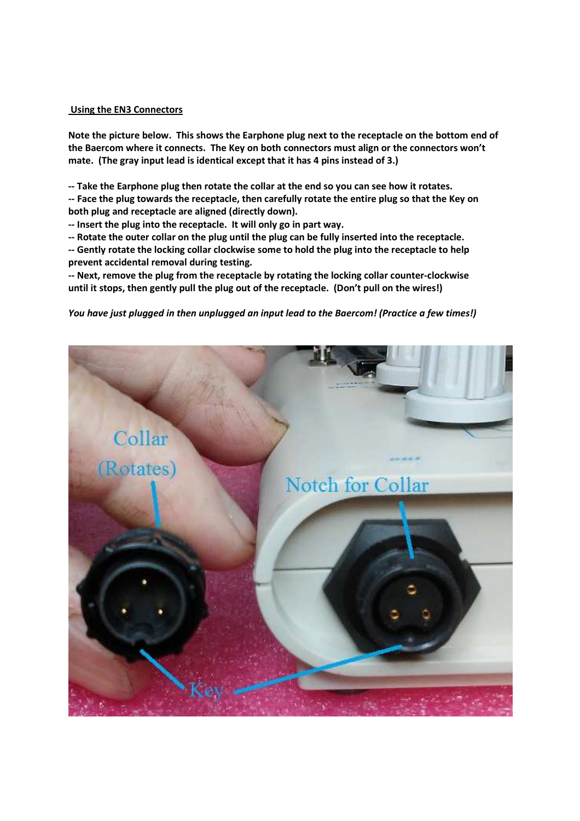#### **Using the EN3 Connectors**

**Note the picture below. This shows the Earphone plug next to the receptacle on the bottom end of the Baercom where it connects. The Key on both connectors must align or the connectors won't mate. (The gray input lead is identical except that it has 4 pins instead of 3.)** 

**-- Take the Earphone plug then rotate the collar at the end so you can see how it rotates.** 

**-- Face the plug towards the receptacle, then carefully rotate the entire plug so that the Key on both plug and receptacle are aligned (directly down).** 

**-- Insert the plug into the receptacle. It will only go in part way.** 

**-- Rotate the outer collar on the plug until the plug can be fully inserted into the receptacle.** 

**-- Gently rotate the locking collar clockwise some to hold the plug into the receptacle to help prevent accidental removal during testing.** 

**-- Next, remove the plug from the receptacle by rotating the locking collar counter-clockwise until it stops, then gently pull the plug out of the receptacle. (Don't pull on the wires!)** 

*You have just plugged in then unplugged an input lead to the Baercom! (Practice a few times!)* 

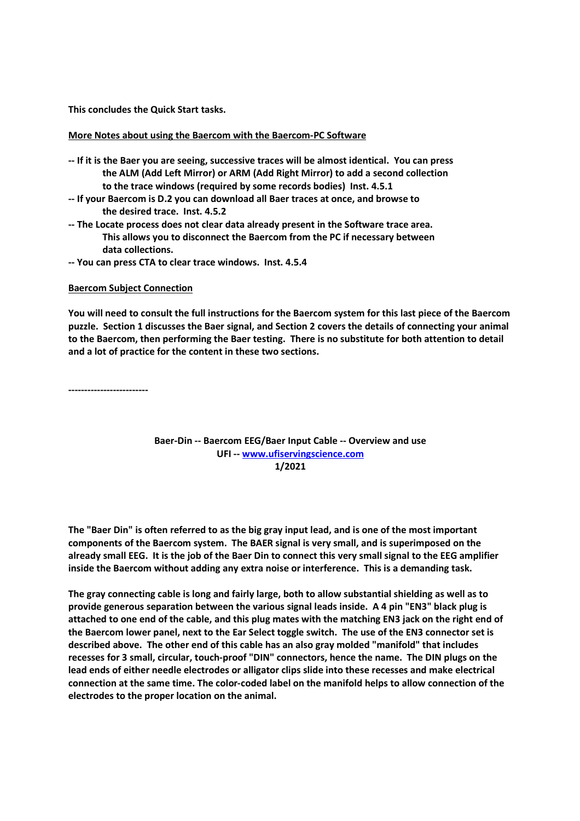**This concludes the Quick Start tasks.** 

#### **More Notes about using the Baercom with the Baercom-PC Software**

- **-- If it is the Baer you are seeing, successive traces will be almost identical. You can press the ALM (Add Left Mirror) or ARM (Add Right Mirror) to add a second collection to the trace windows (required by some records bodies) Inst. 4.5.1**
- **-- If your Baercom is D.2 you can download all Baer traces at once, and browse to the desired trace. Inst. 4.5.2**
- **-- The Locate process does not clear data already present in the Software trace area. This allows you to disconnect the Baercom from the PC if necessary between data collections.**
- **-- You can press CTA to clear trace windows. Inst. 4.5.4**

#### **Baercom Subject Connection**

**You will need to consult the full instructions for the Baercom system for this last piece of the Baercom puzzle. Section 1 discusses the Baer signal, and Section 2 covers the details of connecting your animal to the Baercom, then performing the Baer testing. There is no substitute for both attention to detail and a lot of practice for the content in these two sections.** 

**-------------------------** 

### **Baer-Din -- Baercom EEG/Baer Input Cable -- Overview and use UFI -- www.ufiservingscience.com 1/2021**

**The "Baer Din" is often referred to as the big gray input lead, and is one of the most important components of the Baercom system. The BAER signal is very small, and is superimposed on the already small EEG. It is the job of the Baer Din to connect this very small signal to the EEG amplifier inside the Baercom without adding any extra noise or interference. This is a demanding task.** 

**The gray connecting cable is long and fairly large, both to allow substantial shielding as well as to provide generous separation between the various signal leads inside. A 4 pin "EN3" black plug is attached to one end of the cable, and this plug mates with the matching EN3 jack on the right end of the Baercom lower panel, next to the Ear Select toggle switch. The use of the EN3 connector set is described above. The other end of this cable has an also gray molded "manifold" that includes recesses for 3 small, circular, touch-proof "DIN" connectors, hence the name. The DIN plugs on the lead ends of either needle electrodes or alligator clips slide into these recesses and make electrical connection at the same time. The color-coded label on the manifold helps to allow connection of the electrodes to the proper location on the animal.**